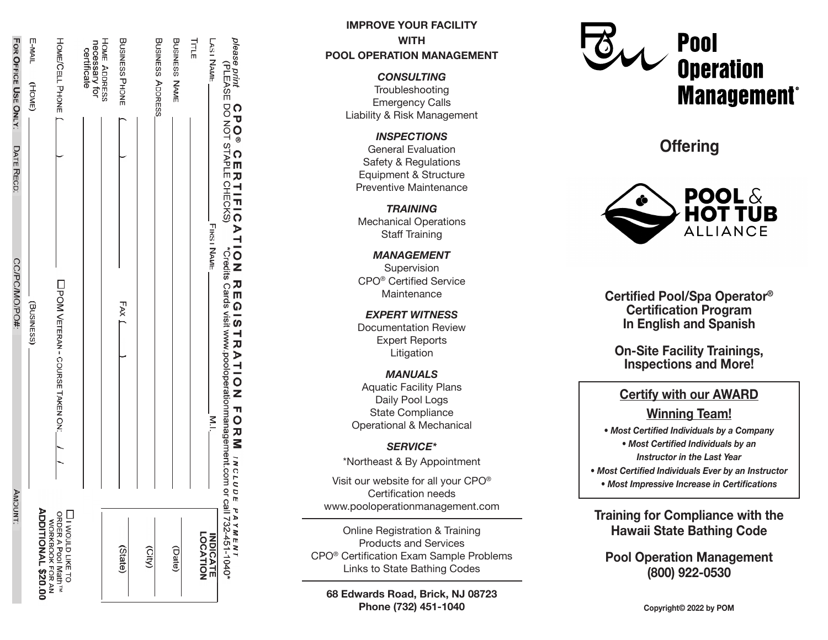| please print                   | (PLEASE DO NOT STAPLE CHECKS) |                                  |                                                                            |
|--------------------------------|-------------------------------|----------------------------------|----------------------------------------------------------------------------|
| LAST NAME                      |                               | <b>FIRST NAME</b><br>Μ.l.        | <b>LOCATION</b><br><b>INDICATE</b>                                         |
| TITLE                          |                               |                                  |                                                                            |
| <b>BUSINESS NAINE</b>          |                               |                                  | (Date)                                                                     |
| BUSINESS<br>RUSINESS<br>YDRESS |                               |                                  |                                                                            |
|                                |                               |                                  | (Qity)                                                                     |
| <b>BUSINESS PHONE</b>          |                               | <b>FAXL</b>                      | (State)                                                                    |
| <b>HOME ADDRESS</b>            |                               |                                  |                                                                            |
| necessary tor<br>certificate   |                               |                                  |                                                                            |
| HOMECHOHING                    |                               | U POM VELERAN-COLORSE TAKEN ON A |                                                                            |
|                                |                               |                                  | UNOULDING TO<br>PRER A POOL FOR AN<br>MORROOK FOR AN<br>ADDITIONAL \$20.00 |
| E-MAIL<br>(HOME)               |                               | (BUSINESS)                       |                                                                            |
| <b>FOR OFFICE USE ONLY:</b>    | DATE RECD:                    | CC/PC/MO/PO#:                    | <b>AMDUNT:</b>                                                             |

### **IMPROVE YOUR FACILITY WITH POOL OPERATION MANAGEMENT**

*CONSULTING* **Troubleshooting** Emergency Calls Liability & Risk Management

*INSPECTIONS* General Evaluation Safety & Regulations Equipment & Structure Preventive Maintenance

*TRAINING* Mechanical Operations Staff Training

*MANAGEMENT* **Supervision** CPO® Certified Service Maintenance

*EXPERT WITNESS* Documentation Review Expert Reports **Litigation** 

*MANUALS* Aquatic Facility Plans Daily Pool Logs State Compliance Operational & Mechanical

*SERVICE\**

\*Northeast & By Appointment

Visit our website for all your CPO® Certification needs www.pooloperationmanagement.com

Online Registration & Training Products and Services CPO® Certification Exam Sample Problems Links to State Bathing Codes

**68 Edwards Road, Brick, NJ 08723 Phone (732) 451-1040**



**Offering**



**Certified Pool/Spa Operator® Certification Program In English and Spanish**

**On-Site Facility Trainings, Inspections and More!**

## **Certify with our AWARD**

## **Winning Team!**

- *• Most Certified Individuals by a Company*
	- *• Most Certified Individuals by an Instructor in the Last Year*

*• Most Certified Individuals Ever by an Instructor • Most Impressive Increase in Certifications*

# **Training for Compliance with the Hawaii State Bathing Code**

**S (800) 922-0530 Pool Operation Management**